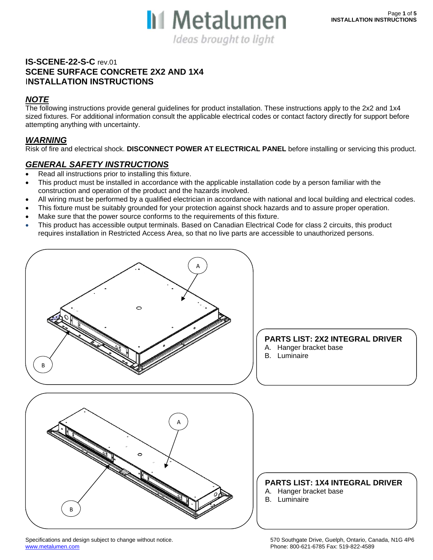

### **IS-SCENE-22-S-C** rev.01 **SCENE SURFACE CONCRETE 2X2 AND 1X4**  I**NSTALLATION INSTRUCTIONS**

### *NOTE*

The following instructions provide general guidelines for product installation. These instructions apply to the 2x2 and 1x4 sized fixtures. For additional information consult the applicable electrical codes or contact factory directly for support before attempting anything with uncertainty.

#### *WARNING*

Risk of fire and electrical shock. **DISCONNECT POWER AT ELECTRICAL PANEL** before installing or servicing this product.

### *GENERAL SAFETY INSTRUCTIONS*

- Read all instructions prior to installing this fixture.
- This product must be installed in accordance with the applicable installation code by a person familiar with the construction and operation of the product and the hazards involved.
- All wiring must be performed by a qualified electrician in accordance with national and local building and electrical codes.
- This fixture must be suitably grounded for your protection against shock hazards and to assure proper operation.
- Make sure that the power source conforms to the requirements of this fixture.
- This product has accessible output terminals. Based on Canadian Electrical Code for class 2 circuits, this product requires installation in Restricted Access Area, so that no live parts are accessible to unauthorized persons.



www.metalumen.com Phone: 800-621-6785 Fax: 519-822-4589

Specifications and design subject to change without notice. 570 Southgate Drive, Guelph, Ontario, Canada, N1G 4P6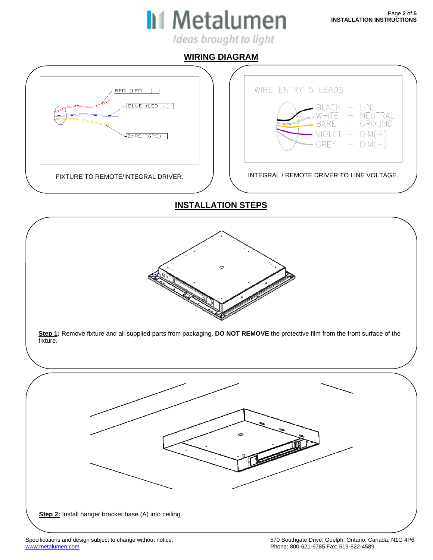

Ideas brought to light

## **WIRING DIAGRAM**

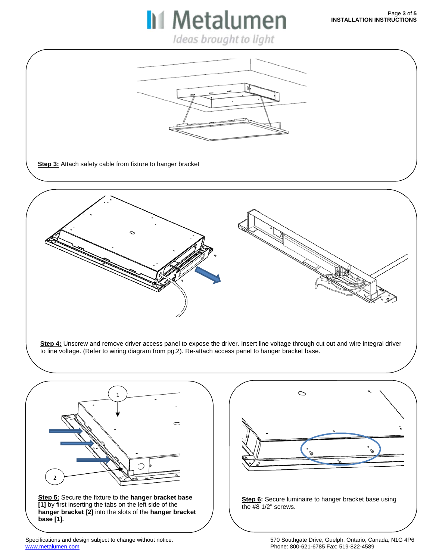Ideas brought to light

**II** Metalumen

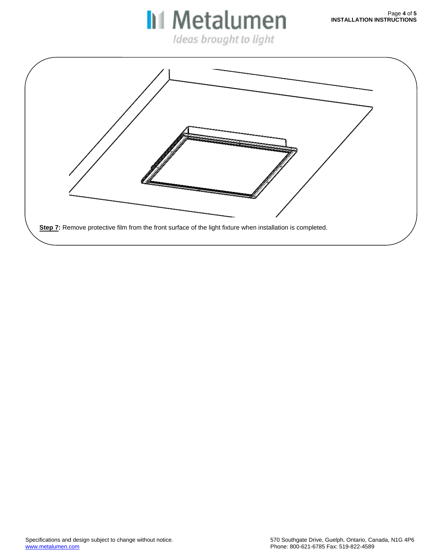**II** Metalumen Ideas brought to light